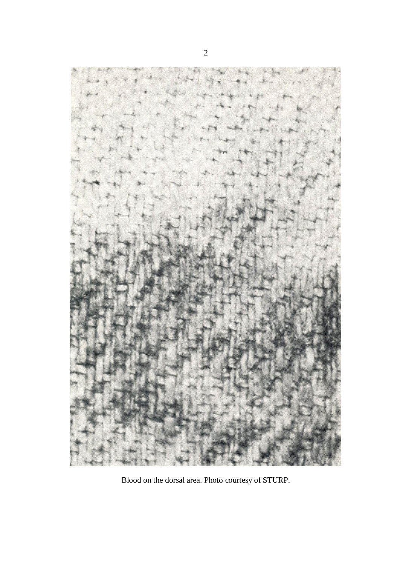

Blood on the dorsal area. Photo courtesy of STURP.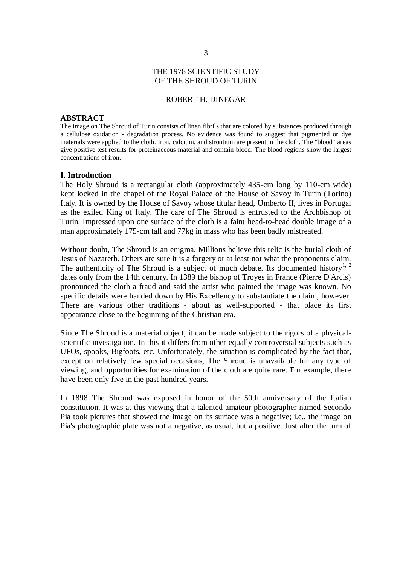# THE 1978 SCIENTIFIC STUDY OF THE SHROUD OF TURIN

## ROBERT H. DINEGAR

#### **ABSTRACT**

The image on The Shroud of Turin consists of linen fibrils that are colored by substances produced through a cellulose oxidation - degradation process. No evidence was found to suggest that pigmented or dye materials were applied to the cloth. Iron, calcium, and strontium are present in the cloth. The "blood" areas give positive test results for proteinaceous material and contain blood. The blood regions show the largest concentrations of iron.

### **I. Introduction**

The Holy Shroud is a rectangular cloth (approximately 435-cm long by 110-cm wide) kept locked in the chapel of the Royal Palace of the House of Savoy in Turin (Torino) Italy. It is owned by the House of Savoy whose titular head, Umberto II, lives in Portugal as the exiled King of Italy. The care of The Shroud is entrusted to the Archbishop of Turin. Impressed upon one surface of the cloth is a faint head-to-head double image of a man approximately 175-cm tall and 77kg in mass who has been badly mistreated.

Without doubt, The Shroud is an enigma. Millions believe this relic is the burial cloth of Jesus of Nazareth. Others are sure it is a forgery or at least not what the proponents claim. The authenticity of The Shroud is a subject of much debate. Its documented history<sup>1, 2</sup> dates only from the 14th century. In 1389 the bishop of Troyes in France (Pierre D'Arcis) pronounced the cloth a fraud and said the artist who painted the image was known. No specific details were handed down by His Excellency to substantiate the claim, however. There are various other traditions - about as well-supported - that place its first appearance close to the beginning of the Christian era.

Since The Shroud is a material object, it can be made subject to the rigors of a physicalscientific investigation. In this it differs from other equally controversial subjects such as UFOs, spooks, Bigfoots, etc. Unfortunately, the situation is complicated by the fact that, except on relatively few special occasions, The Shroud is unavailable for any type of viewing, and opportunities for examination of the cloth are quite rare. For example, there have been only five in the past hundred years.

In 1898 The Shroud was exposed in honor of the 50th anniversary of the Italian constitution. It was at this viewing that a talented amateur photographer named Secondo Pia took pictures that showed the image on its surface was a negative; i.e., the image on Pia's photographic plate was not a negative, as usual, but a positive. Just after the turn of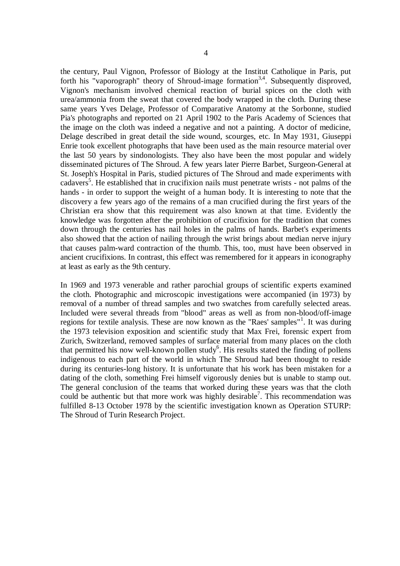the century, Paul Vignon, Professor of Biology at the Institut Catholique in Paris, put forth his "vaporograph" theory of Shroud-image formation<sup>3,4</sup>. Subsequently disproved, Vignon's mechanism involved chemical reaction of burial spices on the cloth with urea/ammonia from the sweat that covered the body wrapped in the cloth. During these same years Yves Delage, Professor of Comparative Anatomy at the Sorbonne, studied Pia's photographs and reported on 21 April 1902 to the Paris Academy of Sciences that the image on the cloth was indeed a negative and not a painting. A doctor of medicine, Delage described in great detail the side wound, scourges, etc. In May 1931, Giuseppi Enrie took excellent photographs that have been used as the main resource material over the last 50 years by sindonologists. They also have been the most popular and widely disseminated pictures of The Shroud. A few years later Pierre Barbet, Surgeon-General at St. Joseph's Hospital in Paris, studied pictures of The Shroud and made experiments with cadavers<sup>5</sup>. He established that in crucifixion nails must penetrate wrists - not palms of the hands - in order to support the weight of a human body. It is interesting to note that the discovery a few years ago of the remains of a man crucified during the first years of the Christian era show that this requirement was also known at that time. Evidently the knowledge was forgotten after the prohibition of crucifixion for the tradition that comes down through the centuries has nail holes in the palms of hands. Barbet's experiments also showed that the action of nailing through the wrist brings about median nerve injury that causes palm-ward contraction of the thumb. This, too, must have been observed in ancient crucifixions. In contrast, this effect was remembered for it appears in iconography at least as early as the 9th century.

In 1969 and 1973 venerable and rather parochial groups of scientific experts examined the cloth. Photographic and microscopic investigations were accompanied (in 1973) by removal of a number of thread samples and two swatches from carefully selected areas. Included were several threads from "blood" areas as well as from non-blood/off-image regions for textile analysis. These are now known as the "Raes' samples"<sup>1</sup>. It was during the 1973 television exposition and scientific study that Max Frei, forensic expert from Zurich, Switzerland, removed samples of surface material from many places on the cloth that permitted his now well-known pollen study<sup>6</sup>. His results stated the finding of pollens indigenous to each part of the world in which The Shroud had been thought to reside during its centuries-long history. It is unfortunate that his work has been mistaken for a dating of the cloth, something Frei himself vigorously denies but is unable to stamp out. The general conclusion of the teams that worked during these years was that the cloth could be authentic but that more work was highly desirable<sup>7</sup>. This recommendation was fulfilled 8-13 October 1978 by the scientific investigation known as Operation STURP: The Shroud of Turin Research Project.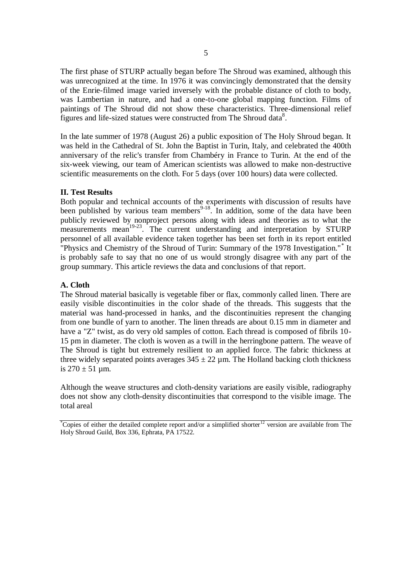The first phase of STURP actually began before The Shroud was examined, although this was unrecognized at the time. In 1976 it was convincingly demonstrated that the density of the Enrie-filmed image varied inversely with the probable distance of cloth to body, was Lambertian in nature, and had a one-to-one global mapping function. Films of paintings of The Shroud did not show these characteristics. Three-dimensional relief figures and life-sized statues were constructed from The Shroud data<sup>8</sup>.

In the late summer of 1978 (August 26) a public exposition of The Holy Shroud began. It was held in the Cathedral of St. John the Baptist in Turin, Italy, and celebrated the 400th anniversary of the relic's transfer from Chambéry in France to Turin. At the end of the six-week viewing, our team of American scientists was allowed to make non-destructive scientific measurements on the cloth. For 5 days (over 100 hours) data were collected.

# **II. Test Results**

Both popular and technical accounts of the experiments with discussion of results have been published by various team members<sup>9-18</sup>. In addition, some of the data have been publicly reviewed by nonproject persons along with ideas and theories as to what the measurements mean<sup>19-23</sup>. The current understanding and interpretation by STURP personnel of all available evidence taken together has been set forth in its report entitled "Physics and Chemistry of the Shroud of Turin: Summary of the 1978 Investigation."\* It is probably safe to say that no one of us would strongly disagree with any part of the group summary. This article reviews the data and conclusions of that report.

# **A. Cloth**

The Shroud material basically is vegetable fiber or flax, commonly called linen. There are easily visible discontinuities in the color shade of the threads. This suggests that the material was hand-processed in hanks, and the discontinuities represent the changing from one bundle of yarn to another. The linen threads are about 0.15 mm in diameter and have a "Z" twist, as do very old samples of cotton. Each thread is composed of fibrils 10- 15 pm in diameter. The cloth is woven as a twill in the herringbone pattern. The weave of The Shroud is tight but extremely resilient to an applied force. The fabric thickness at three widely separated points averages  $345 \pm 22$  µm. The Holland backing cloth thickness is  $270 \pm 51$  µm.

Although the weave structures and cloth-density variations are easily visible, radiography does not show any cloth-density discontinuities that correspond to the visible image. The total areal

\*Copies of either the detailed complete report and/or a simplified shorter<sup>12</sup> version are available from The Holy Shroud Guild, Box 336, Ephrata, PA 17522.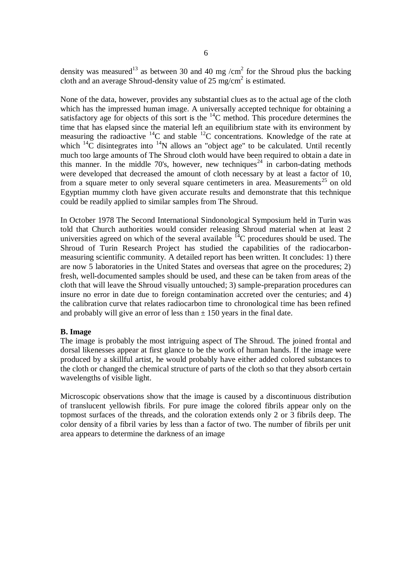density was measured<sup>13</sup> as between 30 and 40 mg /cm<sup>2</sup> for the Shroud plus the backing cloth and an average Shroud-density value of  $25 \text{ mg/cm}^2$  is estimated.

None of the data, however, provides any substantial clues as to the actual age of the cloth which has the impressed human image. A universally accepted technique for obtaining a satisfactory age for objects of this sort is the  $^{14}$ C method. This procedure determines the time that has elapsed since the material left an equilibrium state with its environment by measuring the radioactive  $^{14}C$  and stable  $^{12}C$  concentrations. Knowledge of the rate at which  ${}^{14}C$  disintegrates into  ${}^{14}N$  allows an "object age" to be calculated. Until recently much too large amounts of The Shroud cloth would have been required to obtain a date in this manner. In the middle 70's, however, new techniques<sup>24</sup> in carbon-dating methods were developed that decreased the amount of cloth necessary by at least a factor of 10, from a square meter to only several square centimeters in area. Measurements<sup>25</sup> on old Egyptian mummy cloth have given accurate results and demonstrate that this technique could be readily applied to similar samples from The Shroud.

In October 1978 The Second International Sindonological Symposium held in Turin was told that Church authorities would consider releasing Shroud material when at least 2 universities agreed on which of the several available <sup>14</sup>C procedures should be used. The Shroud of Turin Research Project has studied the capabilities of the radiocarbonmeasuring scientific community. A detailed report has been written. It concludes: 1) there are now 5 laboratories in the United States and overseas that agree on the procedures; 2) fresh, well-documented samples should be used, and these can be taken from areas of the cloth that will leave the Shroud visually untouched; 3) sample-preparation procedures can insure no error in date due to foreign contamination accreted over the centuries; and 4) the calibration curve that relates radiocarbon time to chronological time has been refined and probably will give an error of less than  $\pm$  150 years in the final date.

# **B. Image**

The image is probably the most intriguing aspect of The Shroud. The joined frontal and dorsal likenesses appear at first glance to be the work of human hands. If the image were produced by a skillful artist, he would probably have either added colored substances to the cloth or changed the chemical structure of parts of the cloth so that they absorb certain wavelengths of visible light.

Microscopic observations show that the image is caused by a discontinuous distribution of translucent yellowish fibrils. For pure image the colored fibrils appear only on the topmost surfaces of the threads, and the coloration extends only 2 or 3 fibrils deep. The color density of a fibril varies by less than a factor of two. The number of fibrils per unit area appears to determine the darkness of an image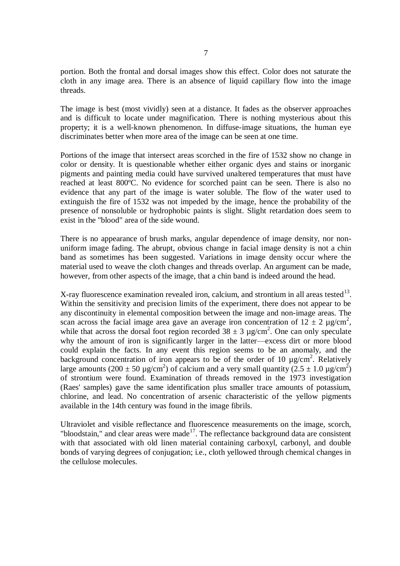portion. Both the frontal and dorsal images show this effect. Color does not saturate the cloth in any image area. There is an absence of liquid capillary flow into the image threads.

The image is best (most vividly) seen at a distance. It fades as the observer approaches and is difficult to locate under magnification. There is nothing mysterious about this property; it is a well-known phenomenon. In diffuse-image situations, the human eye discriminates better when more area of the image can be seen at one time.

Portions of the image that intersect areas scorched in the fire of 1532 show no change in color or density. It is questionable whether either organic dyes and stains or inorganic pigments and painting media could have survived unaltered temperatures that must have reached at least 800ºC. No evidence for scorched paint can be seen. There is also no evidence that any part of the image is water soluble. The flow of the water used to extinguish the fire of 1532 was not impeded by the image, hence the probability of the presence of nonsoluble or hydrophobic paints is slight. Slight retardation does seem to exist in the "blood" area of the side wound.

There is no appearance of brush marks, angular dependence of image density, nor nonuniform image fading. The abrupt, obvious change in facial image density is not a chin band as sometimes has been suggested. Variations in image density occur where the material used to weave the cloth changes and threads overlap. An argument can be made, however, from other aspects of the image, that a chin band is indeed around the head.

X-ray fluorescence examination revealed iron, calcium, and strontium in all areas tested  $13$ . Within the sensitivity and precision limits of the experiment, there does not appear to be any discontinuity in elemental composition between the image and non-image areas. The scan across the facial image area gave an average iron concentration of  $12 \pm 2 \text{ µg/cm}^2$ , while that across the dorsal foot region recorded  $38 \pm 3$  µg/cm<sup>2</sup>. One can only speculate why the amount of iron is significantly larger in the latter—excess dirt or more blood could explain the facts. In any event this region seems to be an anomaly, and the background concentration of iron appears to be of the order of 10  $\mu$ g/cm<sup>2</sup>. Relatively large amounts (200  $\pm$  50 µg/cm<sup>2</sup>) of calcium and a very small quantity (2.5  $\pm$  1.0 µg/cm<sup>2</sup>) of strontium were found. Examination of threads removed in the 1973 investigation (Raes' samples) gave the same identification plus smaller trace amounts of potassium, chlorine, and lead. No concentration of arsenic characteristic of the yellow pigments available in the 14th century was found in the image fibrils.

Ultraviolet and visible reflectance and fluorescence measurements on the image, scorch, "bloodstain," and clear areas were made<sup>17</sup>. The reflectance background data are consistent with that associated with old linen material containing carboxyl, carbonyl, and double bonds of varying degrees of conjugation; i.e., cloth yellowed through chemical changes in the cellulose molecules.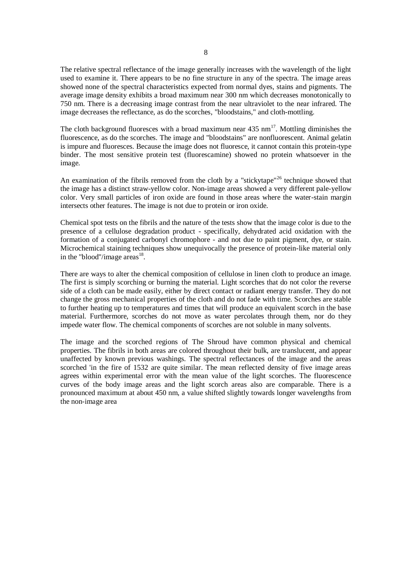The relative spectral reflectance of the image generally increases with the wavelength of the light used to examine it. There appears to be no fine structure in any of the spectra. The image areas showed none of the spectral characteristics expected from normal dyes, stains and pigments. The average image density exhibits a broad maximum near 300 nm which decreases monotonically to 750 nm. There is a decreasing image contrast from the near ultraviolet to the near infrared. The image decreases the reflectance, as do the scorches, "bloodstains," and cloth-mottling.

The cloth background fluoresces with a broad maximum near  $435 \text{ nm}^{17}$ . Mottling diminishes the fluorescence, as do the scorches. The image and "bloodstains" are nonfluorescent. Animal gelatin is impure and fluoresces. Because the image does not fluoresce, it cannot contain this protein-type binder. The most sensitive protein test (fluorescamine) showed no protein whatsoever in the image.

An examination of the fibrils removed from the cloth by a "stickytape"<sup>26</sup> technique showed that the image has a distinct straw-yellow color. Non-image areas showed a very different pale-yellow color. Very small particles of iron oxide are found in those areas where the water-stain margin intersects other features. The image is not due to protein or iron oxide.

Chemical spot tests on the fibrils and the nature of the tests show that the image color is due to the presence of a cellulose degradation product - specifically, dehydrated acid oxidation with the formation of a conjugated carbonyl chromophore - and not due to paint pigment, dye, or stain. Microchemical staining techniques show unequivocally the presence of protein-like material only in the "blood"/image areas $^{18}$ .

There are ways to alter the chemical composition of cellulose in linen cloth to produce an image. The first is simply scorching or burning the material. Light scorches that do not color the reverse side of a cloth can be made easily, either by direct contact or radiant energy transfer. They do not change the gross mechanical properties of the cloth and do not fade with time. Scorches are stable to further heating up to temperatures and times that will produce an equivalent scorch in the base material. Furthermore, scorches do not move as water percolates through them, nor do they impede water flow. The chemical components of scorches are not soluble in many solvents.

The image and the scorched regions of The Shroud have common physical and chemical properties. The fibrils in both areas are colored throughout their bulk, are translucent, and appear unaffected by known previous washings. The spectral reflectances of the image and the areas scorched 'in the fire of 1532 are quite similar. The mean reflected density of five image areas agrees within experimental error with the mean value of the light scorches. The fluorescence curves of the body image areas and the light scorch areas also are comparable. There is a pronounced maximum at about 450 nm, a value shifted slightly towards longer wavelengths from the non-image area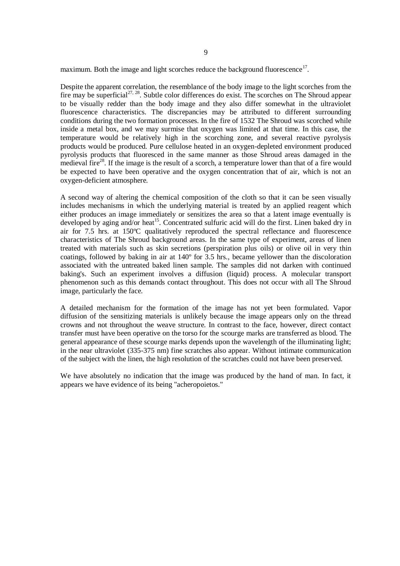maximum. Both the image and light scorches reduce the background fluorescence $17$ .

Despite the apparent correlation, the resemblance of the body image to the light scorches from the fire may be superficial $2^{7,28}$ . Subtle color differences do exist. The scorches on The Shroud appear to be visually redder than the body image and they also differ somewhat in the ultraviolet fluorescence characteristics. The discrepancies may be attributed to different surrounding conditions during the two formation processes. In the fire of 1532 The Shroud was scorched while inside a metal box, and we may surmise that oxygen was limited at that time. In this case, the temperature would be relatively high in the scorching zone, and several reactive pyrolysis products would be produced. Pure cellulose heated in an oxygen-depleted environment produced pyrolysis products that fluoresced in the same manner as those Shroud areas damaged in the medieval fire<sup>28</sup>. If the image is the result of a scorch, a temperature lower than that of a fire would be expected to have been operative and the oxygen concentration that of air, which is not an oxygen-deficient atmosphere.

A second way of altering the chemical composition of the cloth so that it can be seen visually includes mechanisms in which the underlying material is treated by an applied reagent which either produces an image immediately or sensitizes the area so that a latent image eventually is developed by aging and/or heat<sup>15</sup>. Concentrated sulfuric acid will do the first. Linen baked dry in air for 7.5 hrs. at 150ºC qualitatively reproduced the spectral reflectance and fluorescence characteristics of The Shroud background areas. In the same type of experiment, areas of linen treated with materials such as skin secretions (perspiration plus oils) or olive oil in very thin coatings, followed by baking in air at 140º for 3.5 hrs., became yellower than the discoloration associated with the untreated baked linen sample. The samples did not darken with continued baking's. Such an experiment involves a diffusion (liquid) process. A molecular transport phenomenon such as this demands contact throughout. This does not occur with all The Shroud image, particularly the face.

A detailed mechanism for the formation of the image has not yet been formulated. Vapor diffusion of the sensitizing materials is unlikely because the image appears only on the thread crowns and not throughout the weave structure. In contrast to the face, however, direct contact transfer must have been operative on the torso for the scourge marks are transferred as blood. The general appearance of these scourge marks depends upon the wavelength of the illuminating light; in the near ultraviolet (335-375 nm) fine scratches also appear. Without intimate communication of the subject with the linen, the high resolution of the scratches could not have been preserved.

We have absolutely no indication that the image was produced by the hand of man. In fact, it appears we have evidence of its being "acheropoietos."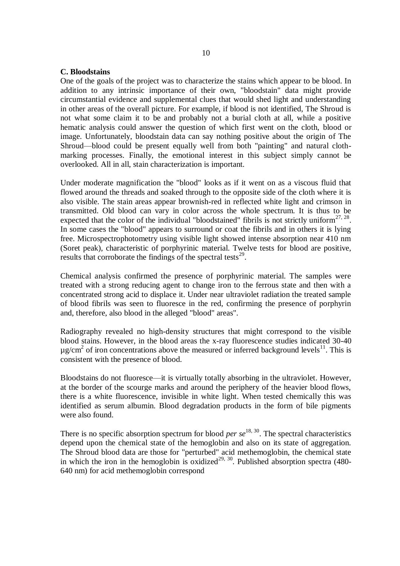## **C. Bloodstains**

One of the goals of the project was to characterize the stains which appear to be blood. In addition to any intrinsic importance of their own, "bloodstain" data might provide circumstantial evidence and supplemental clues that would shed light and understanding in other areas of the overall picture. For example, if blood is not identified, The Shroud is not what some claim it to be and probably not a burial cloth at all, while a positive hematic analysis could answer the question of which first went on the cloth, blood or image. Unfortunately, bloodstain data can say nothing positive about the origin of The Shroud—blood could be present equally well from both "painting" and natural clothmarking processes. Finally, the emotional interest in this subject simply cannot be overlooked. All in all, stain characterization is important.

Under moderate magnification the "blood" looks as if it went on as a viscous fluid that flowed around the threads and soaked through to the opposite side of the cloth where it is also visible. The stain areas appear brownish-red in reflected white light and crimson in transmitted. Old blood can vary in color across the whole spectrum. It is thus to be expected that the color of the individual "bloodstained" fibrils is not strictly uniform<sup>27, 28</sup>. In some cases the "blood" appears to surround or coat the fibrils and in others it is lying free. Microspectrophotometry using visible light showed intense absorption near 410 nm (Soret peak), characteristic of porphyrinic material. Twelve tests for blood are positive, results that corroborate the findings of the spectral tests<sup>29</sup>.

Chemical analysis confirmed the presence of porphyrinic material. The samples were treated with a strong reducing agent to change iron to the ferrous state and then with a concentrated strong acid to displace it. Under near ultraviolet radiation the treated sample of blood fibrils was seen to fluoresce in the red, confirming the presence of porphyrin and, therefore, also blood in the alleged "blood" areas".

Radiography revealed no high-density structures that might correspond to the visible blood stains. However, in the blood areas the x-ray fluorescence studies indicated 30-40  $\mu$ g/cm<sup>2</sup> of iron concentrations above the measured or inferred background levels<sup>11</sup>. This is consistent with the presence of blood.

Bloodstains do not fluoresce—it is virtually totally absorbing in the ultraviolet. However, at the border of the scourge marks and around the periphery of the heavier blood flows, there is a white fluorescence, invisible in white light. When tested chemically this was identified as serum albumin. Blood degradation products in the form of bile pigments were also found.

There is no specific absorption spectrum for blood *per se*<sup>18, 30</sup>. The spectral characteristics depend upon the chemical state of the hemoglobin and also on its state of aggregation. The Shroud blood data are those for "perturbed" acid methemoglobin, the chemical state in which the iron in the hemoglobin is oxidized<sup>29, 30</sup>. Published absorption spectra (480-640 nm) for acid methemoglobin correspond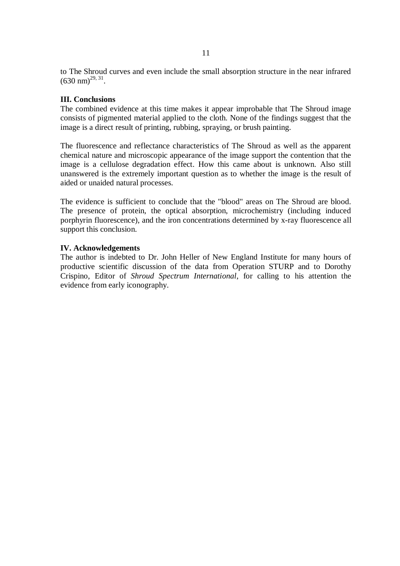to The Shroud curves and even include the small absorption structure in the near infrared  $(630 \text{ nm})^{29, 31}$ .

# **III. Conclusions**

The combined evidence at this time makes it appear improbable that The Shroud image consists of pigmented material applied to the cloth. None of the findings suggest that the image is a direct result of printing, rubbing, spraying, or brush painting.

The fluorescence and reflectance characteristics of The Shroud as well as the apparent chemical nature and microscopic appearance of the image support the contention that the image is a cellulose degradation effect. How this came about is unknown. Also still unanswered is the extremely important question as to whether the image is the result of aided or unaided natural processes.

The evidence is sufficient to conclude that the "blood" areas on The Shroud are blood. The presence of protein, the optical absorption, microchemistry (including induced porphyrin fluorescence), and the iron concentrations determined by x-ray fluorescence all support this conclusion.

# **IV. Acknowledgements**

The author is indebted to Dr. John Heller of New England Institute for many hours of productive scientific discussion of the data from Operation STURP and to Dorothy Crispino, Editor of *Shroud Spectrum International*, for calling to his attention the evidence from early iconography.